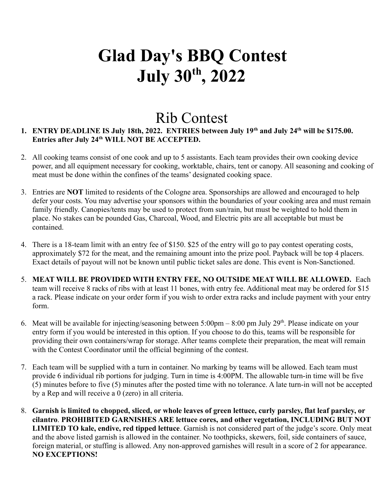# **Glad Day's BBQ Contest July 30 th , 2022**

### Rib Contest

#### **1. ENTRY DEADLINE IS July 18th, 2022. ENTRIES between July 19th and July 24th will be \$175.00. Entries after July 24th WILL NOT BE ACCEPTED.**

- 2. All cooking teams consist of one cook and up to 5 assistants. Each team provides their own cooking device power, and all equipment necessary for cooking, worktable, chairs, tent or canopy. All seasoning and cooking of meat must be done within the confines of the teams' designated cooking space.
- 3. Entries are **NOT** limited to residents of the Cologne area. Sponsorships are allowed and encouraged to help defer your costs. You may advertise your sponsors within the boundaries of your cooking area and must remain family friendly. Canopies/tents may be used to protect from sun/rain, but must be weighted to hold them in place. No stakes can be pounded Gas, Charcoal, Wood, and Electric pits are all acceptable but must be contained.
- 4. There is a 18-team limit with an entry fee of \$150. \$25 of the entry will go to pay contest operating costs, approximately \$72 for the meat, and the remaining amount into the prize pool. Payback will be top 4 placers. Exact details of payout will not be known until public ticket sales are done. This event is Non-Sanctioned.
- 5. **MEAT WILL BE PROVIDED WITH ENTRY FEE, NO OUTSIDE MEAT WILL BE ALLOWED.** Each team will receive 8 racks of ribs with at least 11 bones, with entry fee. Additional meat may be ordered for \$15 a rack. Please indicate on your order form if you wish to order extra racks and include payment with your entry form.
- 6. Meat will be available for injecting/seasoning between 5:00pm 8:00 pm July 29<sup>th</sup>. Please indicate on your entry form if you would be interested in this option. If you choose to do this, teams will be responsible for providing their own containers/wrap for storage. After teams complete their preparation, the meat will remain with the Contest Coordinator until the official beginning of the contest.
- 7. Each team will be supplied with a turn in container. No marking by teams will be allowed. Each team must provide 6 individual rib portions for judging. Turn in time is 4:00PM. The allowable turn-in time will be five (5) minutes before to five (5) minutes after the posted time with no tolerance. A late turn-in will not be accepted by a Rep and will receive a 0 (zero) in all criteria.
- 8. **Garnish is limited to chopped, sliced, or whole leaves of green lettuce, curly parsley, flat leaf parsley, or cilantro**. **PROHIBITED GARNISHES ARE lettuce cores, and other vegetation, INCLUDING BUT NOT LIMITED TO kale, endive, red tipped lettuce**. Garnish is not considered part of the judge's score. Only meat and the above listed garnish is allowed in the container. No toothpicks, skewers, foil, side containers of sauce, foreign material, or stuffing is allowed. Any non-approved garnishes will result in a score of 2 for appearance. **NO EXCEPTIONS!**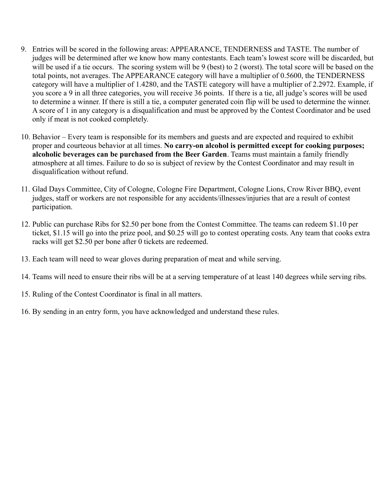- 9. Entries will be scored in the following areas: APPEARANCE, TENDERNESS and TASTE. The number of judges will be determined after we know how many contestants. Each team's lowest score will be discarded, but will be used if a tie occurs. The scoring system will be 9 (best) to 2 (worst). The total score will be based on the total points, not averages. The APPEARANCE category will have a multiplier of 0.5600, the TENDERNESS category will have a multiplier of 1.4280, and the TASTE category will have a multiplier of 2.2972. Example, if you score a 9 in all three categories, you will receive 36 points. If there is a tie, all judge's scores will be used to determine a winner. If there is still a tie, a computer generated coin flip will be used to determine the winner. A score of 1 in any category is a disqualification and must be approved by the Contest Coordinator and be used only if meat is not cooked completely.
- 10. Behavior Every team is responsible for its members and guests and are expected and required to exhibit proper and courteous behavior at all times. **No carry-on alcohol is permitted except for cooking purposes; alcoholic beverages can be purchased from the Beer Garden**. Teams must maintain a family friendly atmosphere at all times. Failure to do so is subject of review by the Contest Coordinator and may result in disqualification without refund.
- 11. Glad Days Committee, City of Cologne, Cologne Fire Department, Cologne Lions, Crow River BBQ, event judges, staff or workers are not responsible for any accidents/illnesses/injuries that are a result of contest participation.
- 12. Public can purchase Ribs for \$2.50 per bone from the Contest Committee. The teams can redeem \$1.10 per ticket, \$1.15 will go into the prize pool, and \$0.25 will go to contest operating costs. Any team that cooks extra racks will get \$2.50 per bone after 0 tickets are redeemed.
- 13. Each team will need to wear gloves during preparation of meat and while serving.
- 14. Teams will need to ensure their ribs will be at a serving temperature of at least 140 degrees while serving ribs.
- 15. Ruling of the Contest Coordinator is final in all matters.
- 16. By sending in an entry form, you have acknowledged and understand these rules.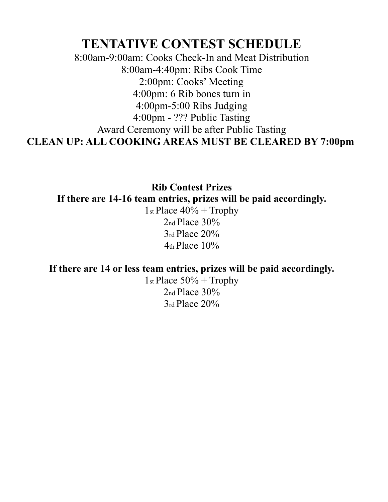### **TENTATIVE CONTEST SCHEDULE**

8:00am-9:00am: Cooks Check-In and Meat Distribution 8:00am-4:40pm: Ribs Cook Time 2:00pm: Cooks' Meeting 4:00pm: 6 Rib bones turn in 4:00pm-5:00 Ribs Judging 4:00pm - ??? Public Tasting Award Ceremony will be after Public Tasting **CLEAN UP: ALL COOKING AREAS MUST BE CLEARED BY 7:00pm**

**Rib Contest Prizes If there are 14-16 team entries, prizes will be paid accordingly.**

1st Place  $40\%$  + Trophy 2nd Place 30% 3rd Place 20%  $4<sub>th</sub>$  Place  $10\%$ 

**If there are 14 or less team entries, prizes will be paid accordingly.**

1st Place  $50\%$  + Trophy  $2<sub>nd</sub>$  Place  $30%$ 3rd Place 20%